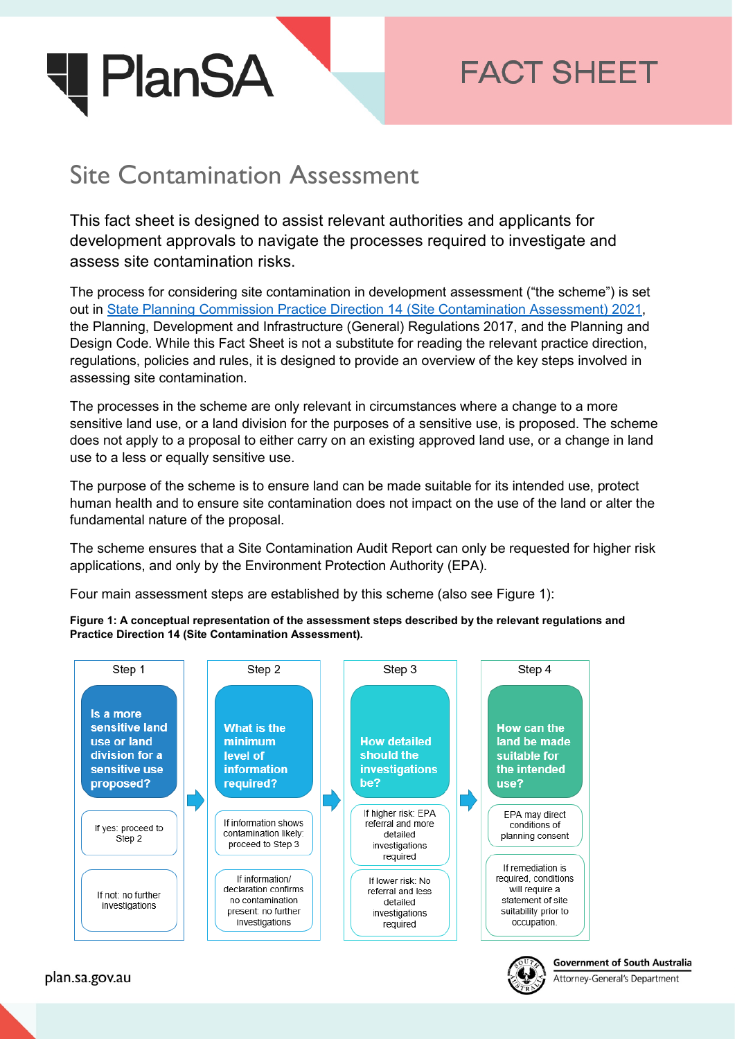

# **FACT SHEET**

## Site Contamination Assessment

This fact sheet is designed to assist relevant authorities and applicants for development approvals to navigate the processes required to investigate and assess site contamination risks.

The process for considering site contamination in development assessment ("the scheme") is set out in [State Planning Commission Practice Direction 14 \(Site Contamination Assessment\) 2021,](https://plan.sa.gov.au/resources/planning/practice_directions/practice_direction_14_site_contamination_assessment_2021) the Planning, Development and Infrastructure (General) Regulations 2017, and the Planning and Design Code. While this Fact Sheet is not a substitute for reading the relevant practice direction, regulations, policies and rules, it is designed to provide an overview of the key steps involved in assessing site contamination.

The processes in the scheme are only relevant in circumstances where a change to a more sensitive land use, or a land division for the purposes of a sensitive use, is proposed. The scheme does not apply to a proposal to either carry on an existing approved land use, or a change in land use to a less or equally sensitive use.

The purpose of the scheme is to ensure land can be made suitable for its intended use, protect human health and to ensure site contamination does not impact on the use of the land or alter the fundamental nature of the proposal.

The scheme ensures that a Site Contamination Audit Report can only be requested for higher risk applications, and only by the Environment Protection Authority (EPA).

Four main assessment steps are established by this scheme (also see Figure 1):

**Figure 1: A conceptual representation of the assessment steps described by the relevant regulations and Practice Direction 14 (Site Contamination Assessment).**





Attorney-General's Department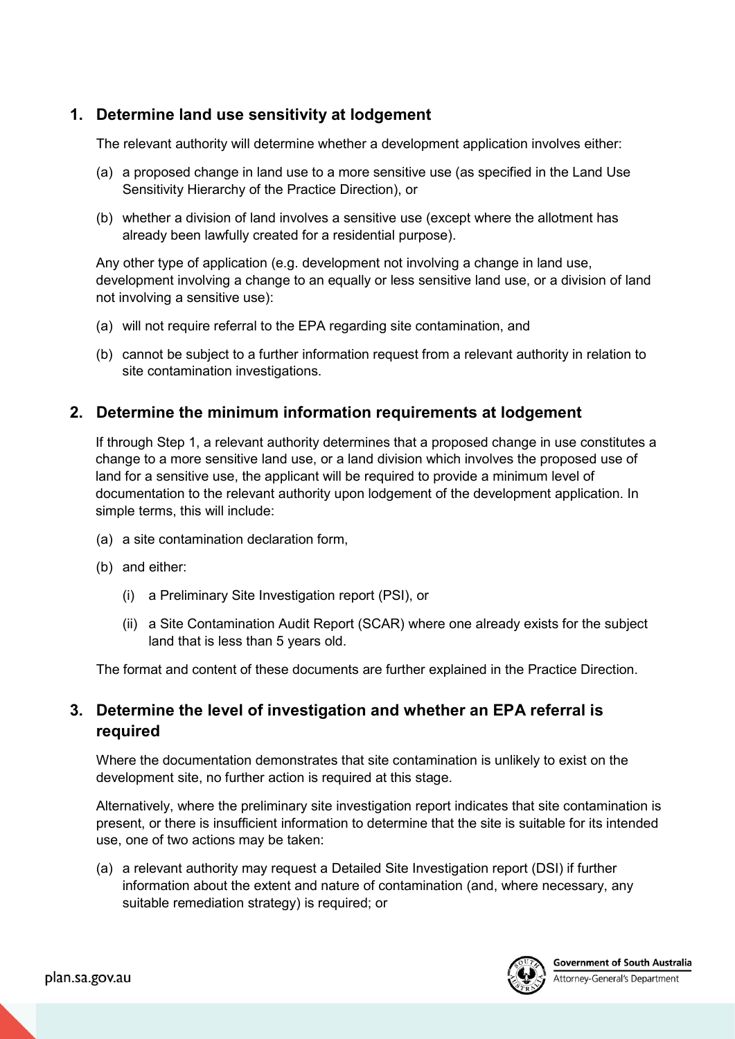#### **1. Determine land use sensitivity at lodgement**

The relevant authority will determine whether a development application involves either:

- (a) a proposed change in land use to a more sensitive use (as specified in the Land Use Sensitivity Hierarchy of the Practice Direction), or
- (b) whether a division of land involves a sensitive use (except where the allotment has already been lawfully created for a residential purpose).

Any other type of application (e.g. development not involving a change in land use, development involving a change to an equally or less sensitive land use, or a division of land not involving a sensitive use):

- (a) will not require referral to the EPA regarding site contamination, and
- (b) cannot be subject to a further information request from a relevant authority in relation to site contamination investigations.

#### **2. Determine the minimum information requirements at lodgement**

If through Step 1, a relevant authority determines that a proposed change in use constitutes a change to a more sensitive land use, or a land division which involves the proposed use of land for a sensitive use, the applicant will be required to provide a minimum level of documentation to the relevant authority upon lodgement of the development application. In simple terms, this will include:

- (a) a site contamination declaration form,
- (b) and either:
	- (i) a Preliminary Site Investigation report (PSI), or
	- (ii) a Site Contamination Audit Report (SCAR) where one already exists for the subject land that is less than 5 years old.

The format and content of these documents are further explained in the Practice Direction.

#### **3. Determine the level of investigation and whether an EPA referral is required**

Where the documentation demonstrates that site contamination is unlikely to exist on the development site, no further action is required at this stage.

Alternatively, where the preliminary site investigation report indicates that site contamination is present, or there is insufficient information to determine that the site is suitable for its intended use, one of two actions may be taken:

(a) a relevant authority may request a Detailed Site Investigation report (DSI) if further information about the extent and nature of contamination (and, where necessary, any suitable remediation strategy) is required; or